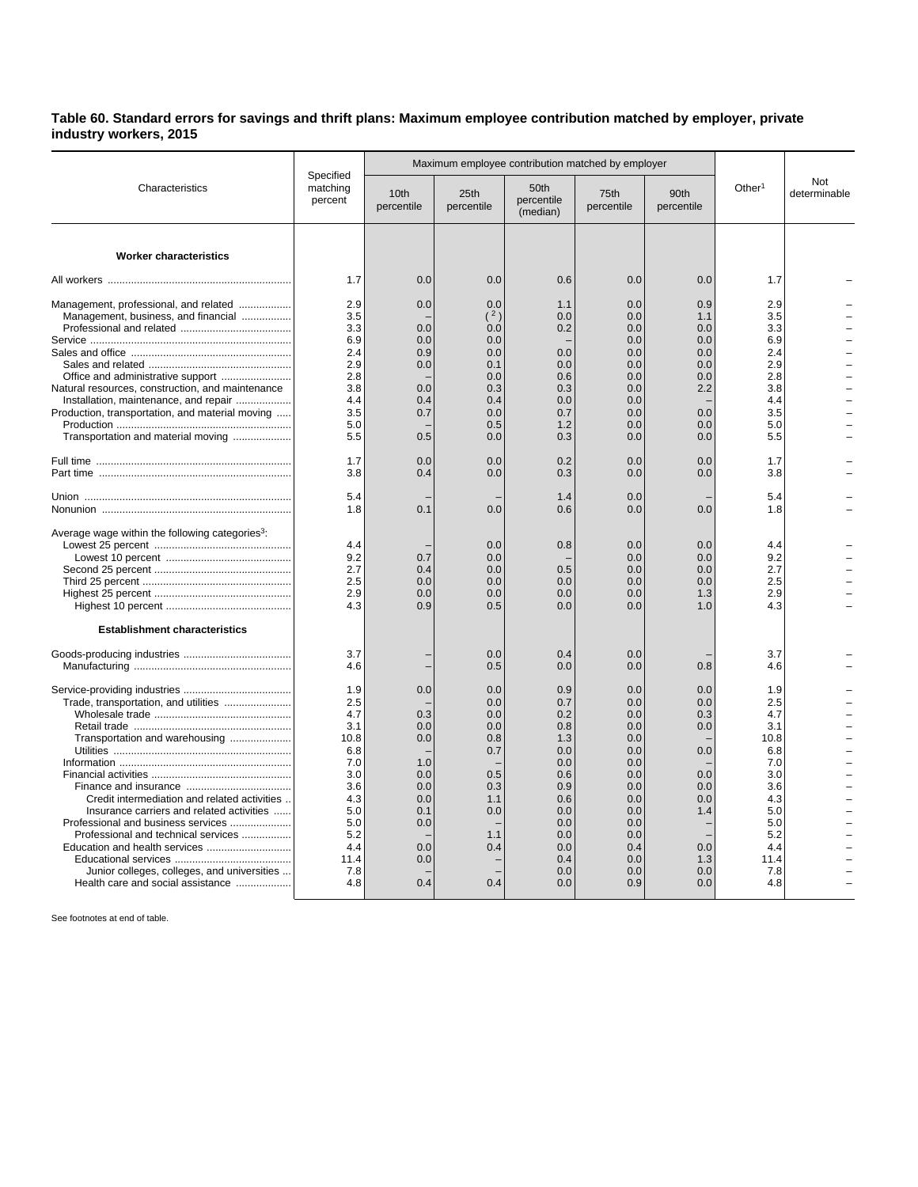## **Table 60. Standard errors for savings and thrift plans: Maximum employee contribution matched by employer, private industry workers, 2015**

|                                                                                                                                                                                                                                                                                                 | Specified<br>matching<br>percent                                                                               |                                                                                  | Maximum employee contribution matched by employer                                |                                                                                                              |                                                                                                              |                                                                                  |                                                                                                                |                     |
|-------------------------------------------------------------------------------------------------------------------------------------------------------------------------------------------------------------------------------------------------------------------------------------------------|----------------------------------------------------------------------------------------------------------------|----------------------------------------------------------------------------------|----------------------------------------------------------------------------------|--------------------------------------------------------------------------------------------------------------|--------------------------------------------------------------------------------------------------------------|----------------------------------------------------------------------------------|----------------------------------------------------------------------------------------------------------------|---------------------|
| Characteristics                                                                                                                                                                                                                                                                                 |                                                                                                                | 10th<br>percentile                                                               | 25th<br>percentile                                                               | 50th<br>percentile<br>(median)                                                                               | 75th<br>percentile                                                                                           | 90th<br>percentile                                                               | Other <sup>1</sup>                                                                                             | Not<br>determinable |
| <b>Worker characteristics</b>                                                                                                                                                                                                                                                                   |                                                                                                                |                                                                                  |                                                                                  |                                                                                                              |                                                                                                              |                                                                                  |                                                                                                                |                     |
|                                                                                                                                                                                                                                                                                                 | 1.7                                                                                                            | 0.0                                                                              | 0.0                                                                              | 0.6                                                                                                          | 0.0                                                                                                          | 0.0                                                                              | 1.7                                                                                                            |                     |
| Management, professional, and related<br>Management, business, and financial<br>Natural resources, construction, and maintenance<br>Installation, maintenance, and repair<br>Production, transportation, and material moving                                                                    | 2.9<br>3.5<br>3.3<br>6.9<br>2.4<br>2.9<br>2.8<br>3.8<br>4.4<br>3.5                                             | 0.0<br>0.0<br>0.0<br>0.9<br>0.0<br>0.0<br>0.4<br>0.7                             | 0.0<br>(2)<br>0.0<br>0.0<br>0.0<br>0.1<br>0.0<br>0.3<br>0.4<br>0.0               | 1.1<br>0.0<br>0.2<br>0.0<br>0.0<br>0.6<br>0.3<br>0.0<br>0.7                                                  | 0.0<br>0.0<br>0.0<br>0.0<br>0.0<br>0.0<br>0.0<br>0.0<br>0.0<br>0.0                                           | 0.9<br>1.1<br>0.0<br>0.0<br>0.0<br>0.0<br>0.0<br>2.2<br>0.0                      | 2.9<br>3.5<br>3.3<br>6.9<br>2.4<br>2.9<br>2.8<br>3.8<br>4.4<br>3.5                                             |                     |
| Transportation and material moving                                                                                                                                                                                                                                                              | 5.0<br>5.5                                                                                                     | 0.5                                                                              | 0.5<br>0.0                                                                       | 1.2<br>0.3                                                                                                   | 0.0<br>0.0                                                                                                   | 0.0<br>0.0                                                                       | 5.0<br>5.5                                                                                                     |                     |
|                                                                                                                                                                                                                                                                                                 | 1.7<br>3.8                                                                                                     | 0.0<br>0.4                                                                       | 0.0<br>0.0                                                                       | 0.2<br>0.3                                                                                                   | 0.0<br>0.0                                                                                                   | 0.0<br>0.0                                                                       | 1.7<br>3.8                                                                                                     |                     |
|                                                                                                                                                                                                                                                                                                 | 5.4<br>1.8                                                                                                     | 0.1                                                                              | 0.0                                                                              | 1.4<br>0.6                                                                                                   | 0.0<br>0.0                                                                                                   | 0.0                                                                              | 5.4<br>1.8                                                                                                     |                     |
| Average wage within the following categories <sup>3</sup> :                                                                                                                                                                                                                                     | 4.4<br>9.2<br>2.7<br>2.5<br>2.9<br>4.3                                                                         | 0.7<br>0.4<br>0.0<br>0.0<br>0.9                                                  | 0.0<br>0.0<br>0.0<br>0.0<br>0.0<br>0.5                                           | 0.8<br>0.5<br>0.0<br>0.0<br>0.0                                                                              | 0.0<br>0.0<br>0.0<br>0.0<br>0.0<br>0.0                                                                       | 0.0<br>0.0<br>0.0<br>0.0<br>1.3<br>1.0                                           | 4.4<br>9.2<br>2.7<br>2.5<br>2.9<br>4.3                                                                         |                     |
| <b>Establishment characteristics</b>                                                                                                                                                                                                                                                            | 3.7<br>4.6                                                                                                     |                                                                                  | 0.0<br>0.5                                                                       | 0.4<br>0.0                                                                                                   | 0.0<br>0.0                                                                                                   | 0.8                                                                              | 3.7<br>4.6                                                                                                     |                     |
| Trade, transportation, and utilities<br>Transportation and warehousing<br>Credit intermediation and related activities<br>Insurance carriers and related activities<br>Professional and business services<br>Professional and technical services<br>Junior colleges, colleges, and universities | 1.9<br>2.5<br>4.7<br>3.1<br>10.8<br>6.8<br>7.0<br>3.0<br>3.6<br>4.3<br>5.0<br>5.0<br>5.2<br>4.4<br>11.4<br>7.8 | 0.0<br>0.3<br>0.0<br>0.0<br>1.0<br>0.0<br>0.0<br>0.0<br>0.1<br>0.0<br>0.0<br>0.0 | 0.0<br>0.0<br>0.0<br>0.0<br>0.8<br>0.7<br>0.5<br>0.3<br>1.1<br>0.0<br>1.1<br>0.4 | 0.9<br>0.7<br>0.2<br>0.8<br>1.3<br>0.0<br>0.0<br>0.6<br>0.9<br>0.6<br>0.0<br>0.0<br>0.0<br>0.0<br>0.4<br>0.0 | 0.0<br>0.0<br>0.0<br>0.0<br>0.0<br>0.0<br>0.0<br>0.0<br>0.0<br>0.0<br>0.0<br>0.0<br>0.0<br>0.4<br>0.0<br>0.0 | 0.0<br>0.0<br>0.3<br>0.0<br>0.0<br>0.0<br>0.0<br>0.0<br>1.4<br>0.0<br>1.3<br>0.0 | 1.9<br>2.5<br>4.7<br>3.1<br>10.8<br>6.8<br>7.0<br>3.0<br>3.6<br>4.3<br>5.0<br>5.0<br>5.2<br>4.4<br>11.4<br>7.8 |                     |

See footnotes at end of table.